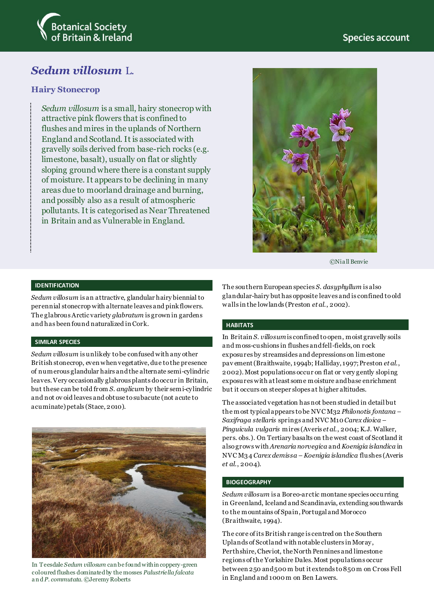

# *Sedum villosum* L.

## **Hairy Stonecrop**

*Sedum villosum* is a small, hairy stonecrop with attractive pink flowers that is confined to flushes and mires in the uplands of Northern England and Scotland. It is associated with gravelly soils derived from base-rich rocks (e.g. limestone, basalt), usually on flat or slightly sloping ground where there is a constant supply of moisture. It appears to be declining in many areas due to moorland drainage and burning, and possibly also as a result of atmospheric pollutants. It is categorised as Near Threatened in Britain and as Vulnerable in England.



©Nia ll Benvie

#### **IDENTIFICATION**

*Sedum villosum* is an attractive, glandular hairy biennial to perennial stonecrop with alternate leaves and pink flowers. The glabrous Arctic variety *glabratum* is grown in gardens and has been found naturalized in Cork.

#### **SIMILAR SPECIES**

*Sedum villosum* is unlikely to be confused with any other British stonecrop, even when vegetative, due to the presence of numerous glandular hairs and the alternate semi-cylindric leaves. Very occasionally glabrous plants do occur in Britain, but these can be told from *S. anglicum* by their semi-cylindric and not ov oid leaves and obtuse to subacute (not acute to acuminate) petals (Stace, 2010).



In Teesdale *Sedum villosum* can be found within coppery-green coloured flushes dominated by the mosses *Palustriella falcata*  a n d *P. commutata.* ©Jeremy Roberts

The southern European species *S. dasyphyllum* is also glandular-hairy but has opposite leaves and is confined to old walls in the lowlands (Preston *et al*., 2002).

#### **HABITATS**

In Britain *S. villosum*is confined to open, moist gravelly soils and moss-cushions in flushes and fell-fields, on rock exposures by streamsides and depressions on limestone pav ement (Braithwaite, 1994b; Halliday, 1997; Preston *et al*., 2002). Most populations occur on flat or very gently sloping exposures with at least some moisture and base enrichment but it occurs on steeper slopes at higher altitudes.

The associated vegetation has not been studied in detail but the most typical appears to be NVC M32 *Philonotis fontana – Saxifraga stellaris* springs and NVC M10 *Carex dioica – Pinguicula vulgaris* mires (Averis *et al*., 2004; K.J. Walker, pers. obs.). On Tertiary basalts on the west coast of Scotland it also grows with *Arenaria norvegica* and *Koenigia islandica* in NVC M34 *Carex demissa – Koenigia islandica* flushes (Averis *et al*., 2004).

#### **BIOGEOGRAPHY**

*Sedum villosum* is a Boreo-arctic montane species occurring in Greenland, Iceland and Scandinavia, extending southwards to the mountains of Spain, Portugal and Morocco (Braithwaite, 1994).

The core of its British range is centred on the Southern Uplands of Scotland with notable clusters in Moray, Perthshire, Cheviot, the North Pennines and limestone regions of the Yorkshire Dales. Most populations occur between 250 and 500 m but it extends to 850 m on Cross Fell in England and 1000 m on Ben Lawers.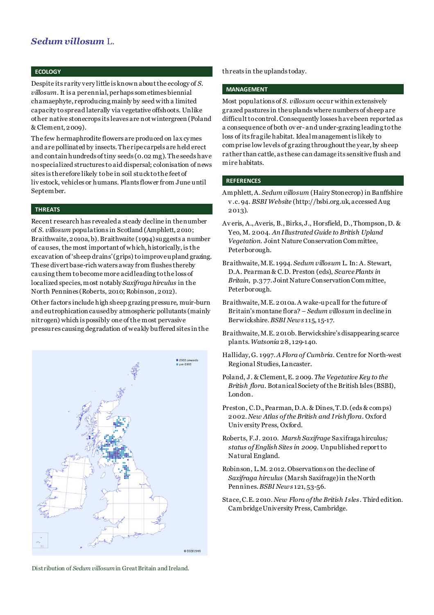# *Sedum villosum* L.

#### **ECOLOGY**

Despite its rarity very little is known about the ecology of *S. villosum*. It is a perennial, perhaps sometimes biennial chamaephyte, reproducing mainly by seed with a limited capacity to spread laterally via vegetative offshoots. Unlike other native stonecrops its leaves are not wintergreen (Poland & Clement, 2009).

The few hermaphrodite flowers are produced on lax cymes and are pollinated by insects. The ripe carpels are held erect and contain hundreds of tiny seeds (0.02 mg). The seeds have no specialized structures to aid dispersal; colonisation of news sites is therefore likely to be in soil stuck to the feet of liv estock, vehicles or humans. Plants flower from June until September.

#### **THREATS**

Recent research has revealed a steady decline in the number of *S. villosum* populations in Scotland (Amphlett, 2010; Braithwaite, 2010a, b). Braithwaite (1994) suggests a number of causes, the most important of which, historically, is the excavation of 'sheep drains' (grips) to improve upland grazing. These divert base-rich waters away from flushes thereby causing them to become more acid leading to the loss of localized species, most notably *Saxifraga hirculus* in the North Pennines (Roberts, 2010; Robinson, 2012).

Other factors include high sheep grazing pressure, muir-burn and eutrophication caused by atmospheric pollutants (mainly nitrogen) which is possibly one of the most pervasive pressures causing degradation of weakly buffered sites in the



threats in the uplands today.

#### **MANAGEMENT**

Most populations of *S. villosum* occur within extensively grazed pastures in the uplands where numbers of sheep are difficult to control. Consequently losses have been reported as a consequence of both ov er-and under-grazing leading to the loss of its fragile habitat. Ideal management is likely to comprise low levels of grazing throughout the year, by sheep rather than cattle, as these can damage its sensitive flush and mire habitats.

#### **REFERENCES**

- Amphlett, A. *Sedum villosum* (Hairy Stonecrop) in Banffshire v .c. 94. *BSBI Website* (http://bsbi.org.uk, accessed Aug 2013).
- Av eris, A., Averis, B., Birks, J., Horsfield, D., Thompson, D. & Yeo, M. 2004. *An Illustrated Guide to British Upland Vegetation.* Joint Nature Conservation Committee, Peterborough.
- Braithwaite, M.E. 1994. *Sedum villosum* L. In: A. Stewart, D.A. Pearman & C.D. Preston (eds), *Scarce Plants in Britain*, p.377. Joint Nature Conservation Committee, Peterborough.
- Braithwaite, M.E. 2010a. A wake-up call for the future of Britain's montane flora? – *Sedum villosum* in decline in Berwickshire. *BSBI News* 115, 15-17.
- Braithwaite, M.E. 2010b. Berwickshire's disappearing scarce plants. *Watsonia* 28, 129-140.
- Halliday, G. 1997. *A Flora of Cumbria*. Centre for North-west Regional Studies, Lancaster.
- Poland, J. & Clement, E. 2009. *The Vegetative Key to the British flora*. Botanical Society of the British Isles (BSBI), London.
- Preston, C.D., Pearman, D.A. & Dines, T.D. (eds & comps) 2002. *New Atlas of the British and Irish flora*. Oxford Univ ersity Press, Oxford.
- Roberts, F.J. 2010. *Marsh Saxifrage* Saxifraga hirculus*; status of English Sites in 2009.* Unpublished report to Natural England.
- Robinson, L.M. 2012. Observations on the decline of *Saxifraga hirculus* (Marsh Saxifrage) in the North Pennines. *BSBI News* 121, 53-56.
- Stace, C.E. 2010. *New Flora of the British Isles*. Third edition. Cambridge University Press, Cambridge.

Distribution of *Sedum villosum*in Great Britain and Ireland.